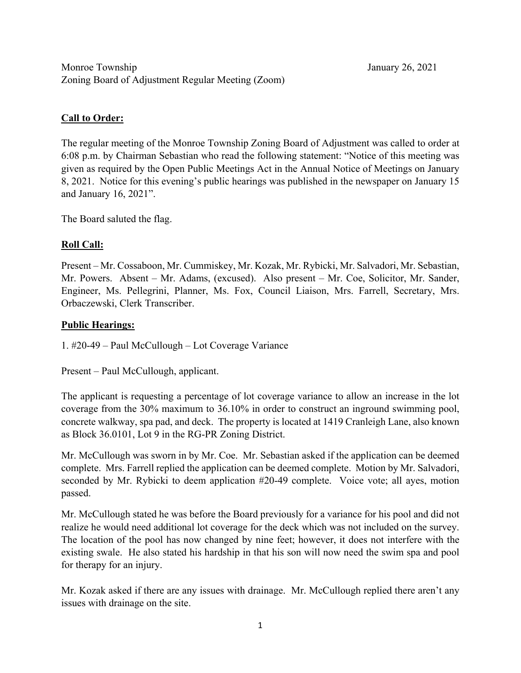# **Call to Order:**

The regular meeting of the Monroe Township Zoning Board of Adjustment was called to order at 6:08 p.m. by Chairman Sebastian who read the following statement: "Notice of this meeting was given as required by the Open Public Meetings Act in the Annual Notice of Meetings on January 8, 2021. Notice for this evening's public hearings was published in the newspaper on January 15 and January 16, 2021".

The Board saluted the flag.

# **Roll Call:**

Present – Mr. Cossaboon, Mr. Cummiskey, Mr. Kozak, Mr. Rybicki, Mr. Salvadori, Mr. Sebastian, Mr. Powers. Absent – Mr. Adams, (excused). Also present – Mr. Coe, Solicitor, Mr. Sander, Engineer, Ms. Pellegrini, Planner, Ms. Fox, Council Liaison, Mrs. Farrell, Secretary, Mrs. Orbaczewski, Clerk Transcriber.

# **Public Hearings:**

1. #20-49 – Paul McCullough – Lot Coverage Variance

Present – Paul McCullough, applicant.

The applicant is requesting a percentage of lot coverage variance to allow an increase in the lot coverage from the 30% maximum to 36.10% in order to construct an inground swimming pool, concrete walkway, spa pad, and deck. The property is located at 1419 Cranleigh Lane, also known as Block 36.0101, Lot 9 in the RG-PR Zoning District.

Mr. McCullough was sworn in by Mr. Coe. Mr. Sebastian asked if the application can be deemed complete. Mrs. Farrell replied the application can be deemed complete. Motion by Mr. Salvadori, seconded by Mr. Rybicki to deem application #20-49 complete. Voice vote; all ayes, motion passed.

Mr. McCullough stated he was before the Board previously for a variance for his pool and did not realize he would need additional lot coverage for the deck which was not included on the survey. The location of the pool has now changed by nine feet; however, it does not interfere with the existing swale. He also stated his hardship in that his son will now need the swim spa and pool for therapy for an injury.

Mr. Kozak asked if there are any issues with drainage. Mr. McCullough replied there aren't any issues with drainage on the site.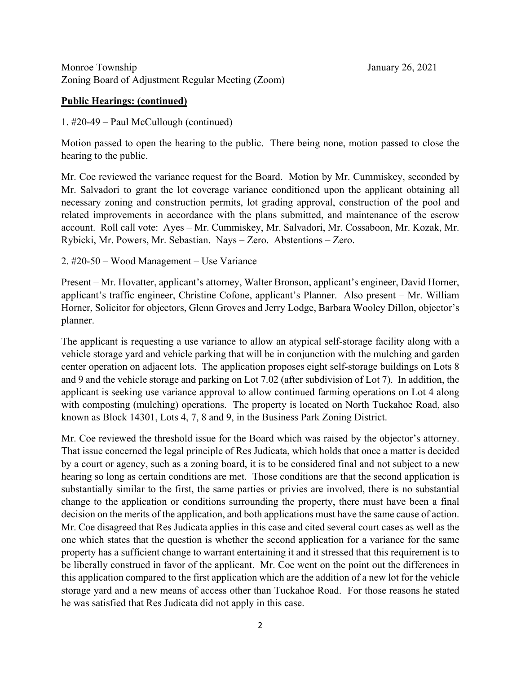#### **Public Hearings: (continued)**

1. #20-49 – Paul McCullough (continued)

Motion passed to open the hearing to the public. There being none, motion passed to close the hearing to the public.

Mr. Coe reviewed the variance request for the Board. Motion by Mr. Cummiskey, seconded by Mr. Salvadori to grant the lot coverage variance conditioned upon the applicant obtaining all necessary zoning and construction permits, lot grading approval, construction of the pool and related improvements in accordance with the plans submitted, and maintenance of the escrow account. Roll call vote: Ayes – Mr. Cummiskey, Mr. Salvadori, Mr. Cossaboon, Mr. Kozak, Mr. Rybicki, Mr. Powers, Mr. Sebastian. Nays – Zero. Abstentions – Zero.

2. #20-50 – Wood Management – Use Variance

Present – Mr. Hovatter, applicant's attorney, Walter Bronson, applicant's engineer, David Horner, applicant's traffic engineer, Christine Cofone, applicant's Planner. Also present – Mr. William Horner, Solicitor for objectors, Glenn Groves and Jerry Lodge, Barbara Wooley Dillon, objector's planner.

The applicant is requesting a use variance to allow an atypical self-storage facility along with a vehicle storage yard and vehicle parking that will be in conjunction with the mulching and garden center operation on adjacent lots. The application proposes eight self-storage buildings on Lots 8 and 9 and the vehicle storage and parking on Lot 7.02 (after subdivision of Lot 7). In addition, the applicant is seeking use variance approval to allow continued farming operations on Lot 4 along with composting (mulching) operations. The property is located on North Tuckahoe Road, also known as Block 14301, Lots 4, 7, 8 and 9, in the Business Park Zoning District.

Mr. Coe reviewed the threshold issue for the Board which was raised by the objector's attorney. That issue concerned the legal principle of Res Judicata, which holds that once a matter is decided by a court or agency, such as a zoning board, it is to be considered final and not subject to a new hearing so long as certain conditions are met. Those conditions are that the second application is substantially similar to the first, the same parties or privies are involved, there is no substantial change to the application or conditions surrounding the property, there must have been a final decision on the merits of the application, and both applications must have the same cause of action. Mr. Coe disagreed that Res Judicata applies in this case and cited several court cases as well as the one which states that the question is whether the second application for a variance for the same property has a sufficient change to warrant entertaining it and it stressed that this requirement is to be liberally construed in favor of the applicant. Mr. Coe went on the point out the differences in this application compared to the first application which are the addition of a new lot for the vehicle storage yard and a new means of access other than Tuckahoe Road. For those reasons he stated he was satisfied that Res Judicata did not apply in this case.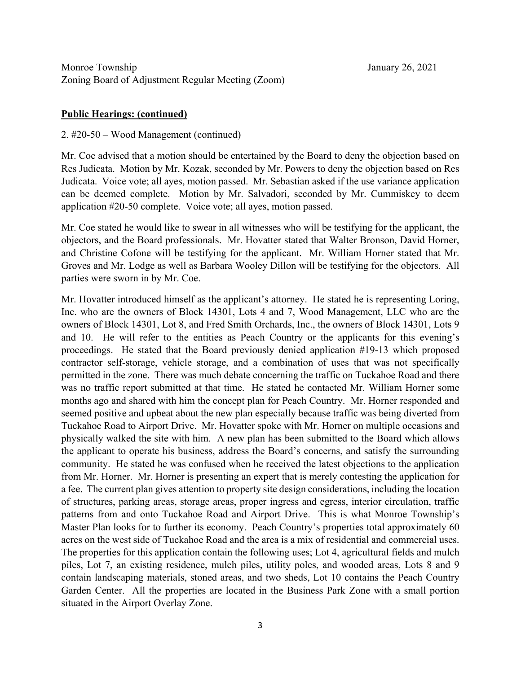# **Public Hearings: (continued)**

### 2. #20-50 – Wood Management (continued)

Mr. Coe advised that a motion should be entertained by the Board to deny the objection based on Res Judicata. Motion by Mr. Kozak, seconded by Mr. Powers to deny the objection based on Res Judicata. Voice vote; all ayes, motion passed. Mr. Sebastian asked if the use variance application can be deemed complete. Motion by Mr. Salvadori, seconded by Mr. Cummiskey to deem application #20-50 complete. Voice vote; all ayes, motion passed.

Mr. Coe stated he would like to swear in all witnesses who will be testifying for the applicant, the objectors, and the Board professionals. Mr. Hovatter stated that Walter Bronson, David Horner, and Christine Cofone will be testifying for the applicant. Mr. William Horner stated that Mr. Groves and Mr. Lodge as well as Barbara Wooley Dillon will be testifying for the objectors. All parties were sworn in by Mr. Coe.

Mr. Hovatter introduced himself as the applicant's attorney. He stated he is representing Loring, Inc. who are the owners of Block 14301, Lots 4 and 7, Wood Management, LLC who are the owners of Block 14301, Lot 8, and Fred Smith Orchards, Inc., the owners of Block 14301, Lots 9 and 10. He will refer to the entities as Peach Country or the applicants for this evening's proceedings. He stated that the Board previously denied application #19-13 which proposed contractor self-storage, vehicle storage, and a combination of uses that was not specifically permitted in the zone. There was much debate concerning the traffic on Tuckahoe Road and there was no traffic report submitted at that time. He stated he contacted Mr. William Horner some months ago and shared with him the concept plan for Peach Country. Mr. Horner responded and seemed positive and upbeat about the new plan especially because traffic was being diverted from Tuckahoe Road to Airport Drive. Mr. Hovatter spoke with Mr. Horner on multiple occasions and physically walked the site with him. A new plan has been submitted to the Board which allows the applicant to operate his business, address the Board's concerns, and satisfy the surrounding community. He stated he was confused when he received the latest objections to the application from Mr. Horner. Mr. Horner is presenting an expert that is merely contesting the application for a fee. The current plan gives attention to property site design considerations, including the location of structures, parking areas, storage areas, proper ingress and egress, interior circulation, traffic patterns from and onto Tuckahoe Road and Airport Drive. This is what Monroe Township's Master Plan looks for to further its economy. Peach Country's properties total approximately 60 acres on the west side of Tuckahoe Road and the area is a mix of residential and commercial uses. The properties for this application contain the following uses; Lot 4, agricultural fields and mulch piles, Lot 7, an existing residence, mulch piles, utility poles, and wooded areas, Lots 8 and 9 contain landscaping materials, stoned areas, and two sheds, Lot 10 contains the Peach Country Garden Center. All the properties are located in the Business Park Zone with a small portion situated in the Airport Overlay Zone.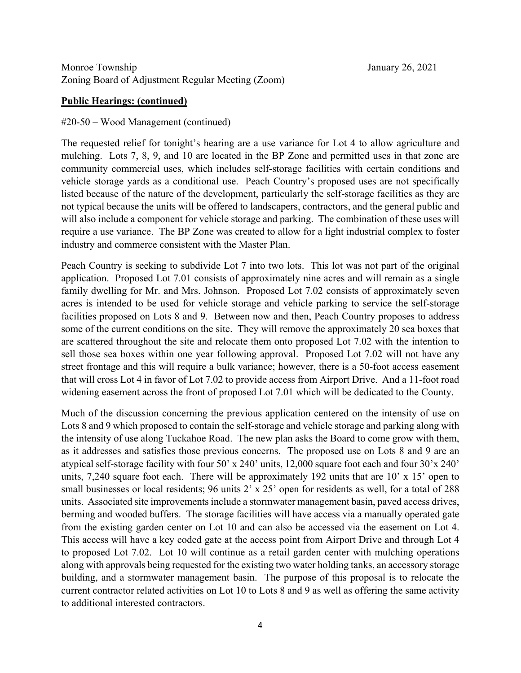## **Public Hearings: (continued)**

### #20-50 – Wood Management (continued)

The requested relief for tonight's hearing are a use variance for Lot 4 to allow agriculture and mulching. Lots 7, 8, 9, and 10 are located in the BP Zone and permitted uses in that zone are community commercial uses, which includes self-storage facilities with certain conditions and vehicle storage yards as a conditional use. Peach Country's proposed uses are not specifically listed because of the nature of the development, particularly the self-storage facilities as they are not typical because the units will be offered to landscapers, contractors, and the general public and will also include a component for vehicle storage and parking. The combination of these uses will require a use variance. The BP Zone was created to allow for a light industrial complex to foster industry and commerce consistent with the Master Plan.

Peach Country is seeking to subdivide Lot 7 into two lots. This lot was not part of the original application. Proposed Lot 7.01 consists of approximately nine acres and will remain as a single family dwelling for Mr. and Mrs. Johnson. Proposed Lot 7.02 consists of approximately seven acres is intended to be used for vehicle storage and vehicle parking to service the self-storage facilities proposed on Lots 8 and 9. Between now and then, Peach Country proposes to address some of the current conditions on the site. They will remove the approximately 20 sea boxes that are scattered throughout the site and relocate them onto proposed Lot 7.02 with the intention to sell those sea boxes within one year following approval. Proposed Lot 7.02 will not have any street frontage and this will require a bulk variance; however, there is a 50-foot access easement that will cross Lot 4 in favor of Lot 7.02 to provide access from Airport Drive. And a 11-foot road widening easement across the front of proposed Lot 7.01 which will be dedicated to the County.

Much of the discussion concerning the previous application centered on the intensity of use on Lots 8 and 9 which proposed to contain the self-storage and vehicle storage and parking along with the intensity of use along Tuckahoe Road. The new plan asks the Board to come grow with them, as it addresses and satisfies those previous concerns. The proposed use on Lots 8 and 9 are an atypical self-storage facility with four 50' x 240' units, 12,000 square foot each and four 30'x 240' units, 7,240 square foot each. There will be approximately 192 units that are 10' x 15' open to small businesses or local residents; 96 units 2' x 25' open for residents as well, for a total of 288 units. Associated site improvements include a stormwater management basin, paved access drives, berming and wooded buffers. The storage facilities will have access via a manually operated gate from the existing garden center on Lot 10 and can also be accessed via the easement on Lot 4. This access will have a key coded gate at the access point from Airport Drive and through Lot 4 to proposed Lot 7.02. Lot 10 will continue as a retail garden center with mulching operations along with approvals being requested for the existing two water holding tanks, an accessory storage building, and a stormwater management basin. The purpose of this proposal is to relocate the current contractor related activities on Lot 10 to Lots 8 and 9 as well as offering the same activity to additional interested contractors.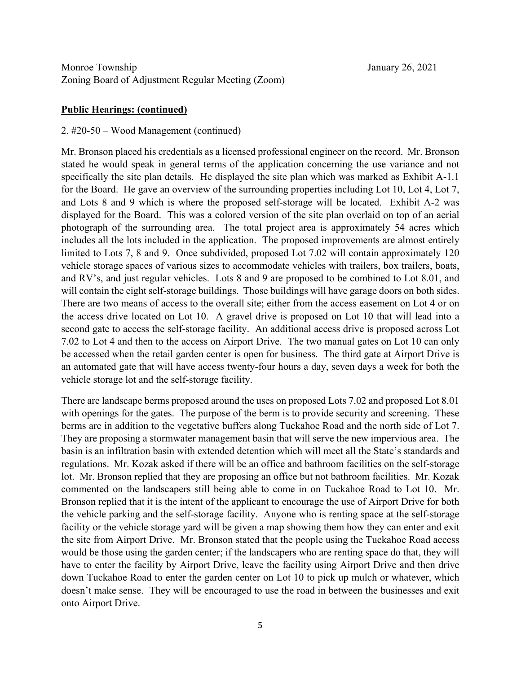#### **Public Hearings: (continued)**

#### 2. #20-50 – Wood Management (continued)

Mr. Bronson placed his credentials as a licensed professional engineer on the record. Mr. Bronson stated he would speak in general terms of the application concerning the use variance and not specifically the site plan details. He displayed the site plan which was marked as Exhibit A-1.1 for the Board. He gave an overview of the surrounding properties including Lot 10, Lot 4, Lot 7, and Lots 8 and 9 which is where the proposed self-storage will be located. Exhibit A-2 was displayed for the Board. This was a colored version of the site plan overlaid on top of an aerial photograph of the surrounding area. The total project area is approximately 54 acres which includes all the lots included in the application. The proposed improvements are almost entirely limited to Lots 7, 8 and 9. Once subdivided, proposed Lot 7.02 will contain approximately 120 vehicle storage spaces of various sizes to accommodate vehicles with trailers, box trailers, boats, and RV's, and just regular vehicles. Lots 8 and 9 are proposed to be combined to Lot 8.01, and will contain the eight self-storage buildings. Those buildings will have garage doors on both sides. There are two means of access to the overall site; either from the access easement on Lot 4 or on the access drive located on Lot 10. A gravel drive is proposed on Lot 10 that will lead into a second gate to access the self-storage facility. An additional access drive is proposed across Lot 7.02 to Lot 4 and then to the access on Airport Drive. The two manual gates on Lot 10 can only be accessed when the retail garden center is open for business. The third gate at Airport Drive is an automated gate that will have access twenty-four hours a day, seven days a week for both the vehicle storage lot and the self-storage facility.

There are landscape berms proposed around the uses on proposed Lots 7.02 and proposed Lot 8.01 with openings for the gates. The purpose of the berm is to provide security and screening. These berms are in addition to the vegetative buffers along Tuckahoe Road and the north side of Lot 7. They are proposing a stormwater management basin that will serve the new impervious area. The basin is an infiltration basin with extended detention which will meet all the State's standards and regulations. Mr. Kozak asked if there will be an office and bathroom facilities on the self-storage lot. Mr. Bronson replied that they are proposing an office but not bathroom facilities. Mr. Kozak commented on the landscapers still being able to come in on Tuckahoe Road to Lot 10. Mr. Bronson replied that it is the intent of the applicant to encourage the use of Airport Drive for both the vehicle parking and the self-storage facility. Anyone who is renting space at the self-storage facility or the vehicle storage yard will be given a map showing them how they can enter and exit the site from Airport Drive. Mr. Bronson stated that the people using the Tuckahoe Road access would be those using the garden center; if the landscapers who are renting space do that, they will have to enter the facility by Airport Drive, leave the facility using Airport Drive and then drive down Tuckahoe Road to enter the garden center on Lot 10 to pick up mulch or whatever, which doesn't make sense. They will be encouraged to use the road in between the businesses and exit onto Airport Drive.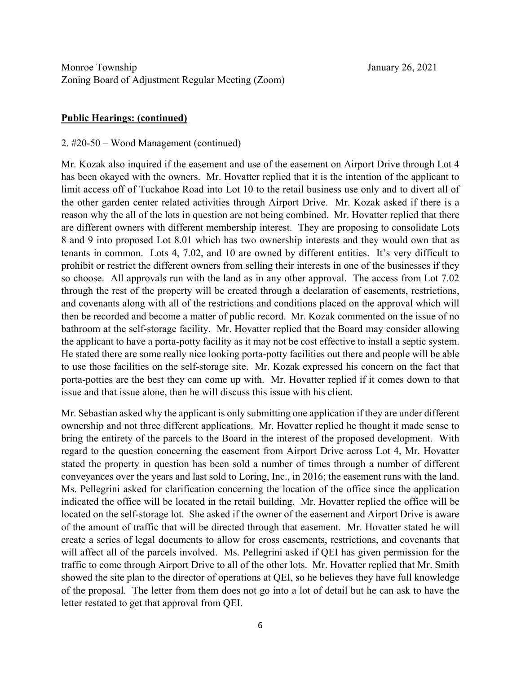### **Public Hearings: (continued)**

#### 2. #20-50 – Wood Management (continued)

Mr. Kozak also inquired if the easement and use of the easement on Airport Drive through Lot 4 has been okayed with the owners. Mr. Hovatter replied that it is the intention of the applicant to limit access off of Tuckahoe Road into Lot 10 to the retail business use only and to divert all of the other garden center related activities through Airport Drive. Mr. Kozak asked if there is a reason why the all of the lots in question are not being combined. Mr. Hovatter replied that there are different owners with different membership interest. They are proposing to consolidate Lots 8 and 9 into proposed Lot 8.01 which has two ownership interests and they would own that as tenants in common. Lots 4, 7.02, and 10 are owned by different entities. It's very difficult to prohibit or restrict the different owners from selling their interests in one of the businesses if they so choose. All approvals run with the land as in any other approval. The access from Lot 7.02 through the rest of the property will be created through a declaration of easements, restrictions, and covenants along with all of the restrictions and conditions placed on the approval which will then be recorded and become a matter of public record. Mr. Kozak commented on the issue of no bathroom at the self-storage facility. Mr. Hovatter replied that the Board may consider allowing the applicant to have a porta-potty facility as it may not be cost effective to install a septic system. He stated there are some really nice looking porta-potty facilities out there and people will be able to use those facilities on the self-storage site. Mr. Kozak expressed his concern on the fact that porta-potties are the best they can come up with. Mr. Hovatter replied if it comes down to that issue and that issue alone, then he will discuss this issue with his client.

Mr. Sebastian asked why the applicant is only submitting one application if they are under different ownership and not three different applications. Mr. Hovatter replied he thought it made sense to bring the entirety of the parcels to the Board in the interest of the proposed development. With regard to the question concerning the easement from Airport Drive across Lot 4, Mr. Hovatter stated the property in question has been sold a number of times through a number of different conveyances over the years and last sold to Loring, Inc., in 2016; the easement runs with the land. Ms. Pellegrini asked for clarification concerning the location of the office since the application indicated the office will be located in the retail building. Mr. Hovatter replied the office will be located on the self-storage lot. She asked if the owner of the easement and Airport Drive is aware of the amount of traffic that will be directed through that easement. Mr. Hovatter stated he will create a series of legal documents to allow for cross easements, restrictions, and covenants that will affect all of the parcels involved. Ms. Pellegrini asked if QEI has given permission for the traffic to come through Airport Drive to all of the other lots. Mr. Hovatter replied that Mr. Smith showed the site plan to the director of operations at QEI, so he believes they have full knowledge of the proposal. The letter from them does not go into a lot of detail but he can ask to have the letter restated to get that approval from QEI.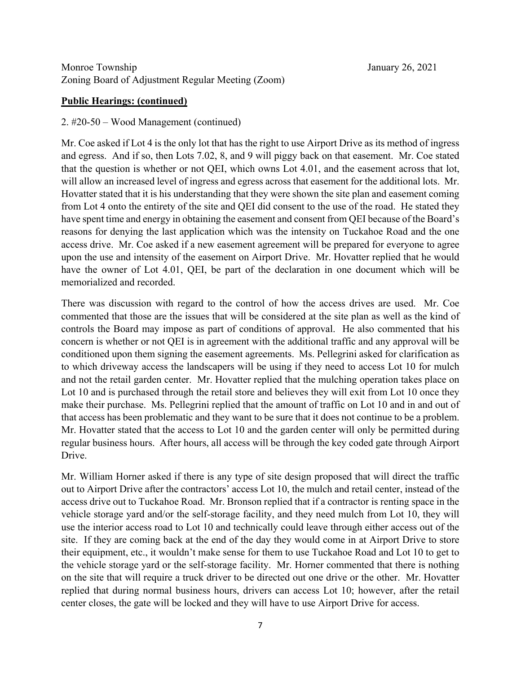# **Public Hearings: (continued)**

## 2. #20-50 – Wood Management (continued)

Mr. Coe asked if Lot 4 is the only lot that has the right to use Airport Drive as its method of ingress and egress. And if so, then Lots 7.02, 8, and 9 will piggy back on that easement. Mr. Coe stated that the question is whether or not QEI, which owns Lot 4.01, and the easement across that lot, will allow an increased level of ingress and egress across that easement for the additional lots. Mr. Hovatter stated that it is his understanding that they were shown the site plan and easement coming from Lot 4 onto the entirety of the site and QEI did consent to the use of the road. He stated they have spent time and energy in obtaining the easement and consent from QEI because of the Board's reasons for denying the last application which was the intensity on Tuckahoe Road and the one access drive. Mr. Coe asked if a new easement agreement will be prepared for everyone to agree upon the use and intensity of the easement on Airport Drive. Mr. Hovatter replied that he would have the owner of Lot 4.01, QEI, be part of the declaration in one document which will be memorialized and recorded.

There was discussion with regard to the control of how the access drives are used. Mr. Coe commented that those are the issues that will be considered at the site plan as well as the kind of controls the Board may impose as part of conditions of approval. He also commented that his concern is whether or not QEI is in agreement with the additional traffic and any approval will be conditioned upon them signing the easement agreements. Ms. Pellegrini asked for clarification as to which driveway access the landscapers will be using if they need to access Lot 10 for mulch and not the retail garden center. Mr. Hovatter replied that the mulching operation takes place on Lot 10 and is purchased through the retail store and believes they will exit from Lot 10 once they make their purchase. Ms. Pellegrini replied that the amount of traffic on Lot 10 and in and out of that access has been problematic and they want to be sure that it does not continue to be a problem. Mr. Hovatter stated that the access to Lot 10 and the garden center will only be permitted during regular business hours. After hours, all access will be through the key coded gate through Airport Drive.

Mr. William Horner asked if there is any type of site design proposed that will direct the traffic out to Airport Drive after the contractors' access Lot 10, the mulch and retail center, instead of the access drive out to Tuckahoe Road. Mr. Bronson replied that if a contractor is renting space in the vehicle storage yard and/or the self-storage facility, and they need mulch from Lot 10, they will use the interior access road to Lot 10 and technically could leave through either access out of the site. If they are coming back at the end of the day they would come in at Airport Drive to store their equipment, etc., it wouldn't make sense for them to use Tuckahoe Road and Lot 10 to get to the vehicle storage yard or the self-storage facility. Mr. Horner commented that there is nothing on the site that will require a truck driver to be directed out one drive or the other. Mr. Hovatter replied that during normal business hours, drivers can access Lot 10; however, after the retail center closes, the gate will be locked and they will have to use Airport Drive for access.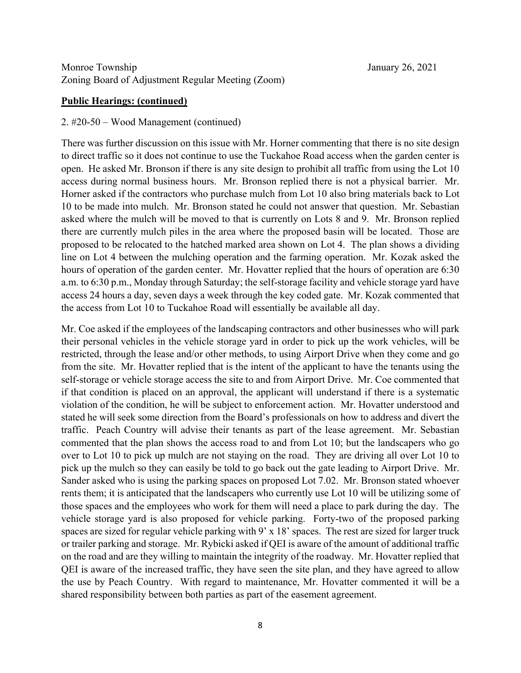#### **Public Hearings: (continued)**

#### 2. #20-50 – Wood Management (continued)

There was further discussion on this issue with Mr. Horner commenting that there is no site design to direct traffic so it does not continue to use the Tuckahoe Road access when the garden center is open. He asked Mr. Bronson if there is any site design to prohibit all traffic from using the Lot 10 access during normal business hours. Mr. Bronson replied there is not a physical barrier. Mr. Horner asked if the contractors who purchase mulch from Lot 10 also bring materials back to Lot 10 to be made into mulch. Mr. Bronson stated he could not answer that question. Mr. Sebastian asked where the mulch will be moved to that is currently on Lots 8 and 9. Mr. Bronson replied there are currently mulch piles in the area where the proposed basin will be located. Those are proposed to be relocated to the hatched marked area shown on Lot 4. The plan shows a dividing line on Lot 4 between the mulching operation and the farming operation. Mr. Kozak asked the hours of operation of the garden center. Mr. Hovatter replied that the hours of operation are 6:30 a.m. to 6:30 p.m., Monday through Saturday; the self-storage facility and vehicle storage yard have access 24 hours a day, seven days a week through the key coded gate. Mr. Kozak commented that the access from Lot 10 to Tuckahoe Road will essentially be available all day.

Mr. Coe asked if the employees of the landscaping contractors and other businesses who will park their personal vehicles in the vehicle storage yard in order to pick up the work vehicles, will be restricted, through the lease and/or other methods, to using Airport Drive when they come and go from the site. Mr. Hovatter replied that is the intent of the applicant to have the tenants using the self-storage or vehicle storage access the site to and from Airport Drive. Mr. Coe commented that if that condition is placed on an approval, the applicant will understand if there is a systematic violation of the condition, he will be subject to enforcement action. Mr. Hovatter understood and stated he will seek some direction from the Board's professionals on how to address and divert the traffic. Peach Country will advise their tenants as part of the lease agreement. Mr. Sebastian commented that the plan shows the access road to and from Lot 10; but the landscapers who go over to Lot 10 to pick up mulch are not staying on the road. They are driving all over Lot 10 to pick up the mulch so they can easily be told to go back out the gate leading to Airport Drive. Mr. Sander asked who is using the parking spaces on proposed Lot 7.02. Mr. Bronson stated whoever rents them; it is anticipated that the landscapers who currently use Lot 10 will be utilizing some of those spaces and the employees who work for them will need a place to park during the day. The vehicle storage yard is also proposed for vehicle parking. Forty-two of the proposed parking spaces are sized for regular vehicle parking with 9' x 18' spaces. The rest are sized for larger truck or trailer parking and storage. Mr. Rybicki asked if QEI is aware of the amount of additional traffic on the road and are they willing to maintain the integrity of the roadway. Mr. Hovatter replied that QEI is aware of the increased traffic, they have seen the site plan, and they have agreed to allow the use by Peach Country. With regard to maintenance, Mr. Hovatter commented it will be a shared responsibility between both parties as part of the easement agreement.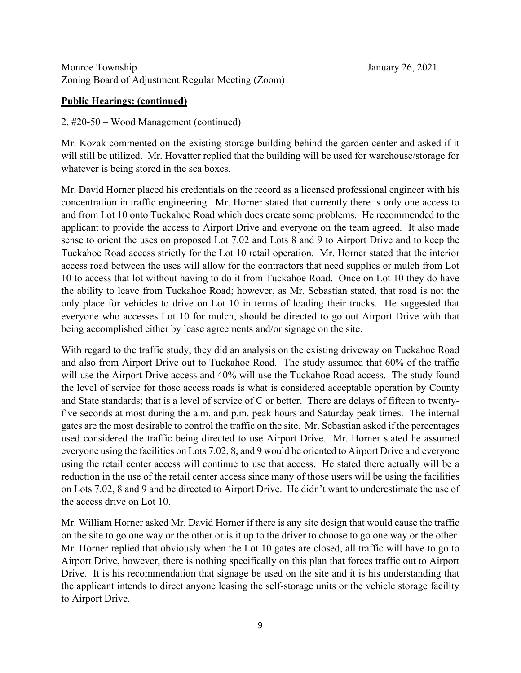# **Public Hearings: (continued)**

# 2. #20-50 – Wood Management (continued)

Mr. Kozak commented on the existing storage building behind the garden center and asked if it will still be utilized. Mr. Hovatter replied that the building will be used for warehouse/storage for whatever is being stored in the sea boxes.

Mr. David Horner placed his credentials on the record as a licensed professional engineer with his concentration in traffic engineering. Mr. Horner stated that currently there is only one access to and from Lot 10 onto Tuckahoe Road which does create some problems. He recommended to the applicant to provide the access to Airport Drive and everyone on the team agreed. It also made sense to orient the uses on proposed Lot 7.02 and Lots 8 and 9 to Airport Drive and to keep the Tuckahoe Road access strictly for the Lot 10 retail operation. Mr. Horner stated that the interior access road between the uses will allow for the contractors that need supplies or mulch from Lot 10 to access that lot without having to do it from Tuckahoe Road. Once on Lot 10 they do have the ability to leave from Tuckahoe Road; however, as Mr. Sebastian stated, that road is not the only place for vehicles to drive on Lot 10 in terms of loading their trucks. He suggested that everyone who accesses Lot 10 for mulch, should be directed to go out Airport Drive with that being accomplished either by lease agreements and/or signage on the site.

With regard to the traffic study, they did an analysis on the existing driveway on Tuckahoe Road and also from Airport Drive out to Tuckahoe Road. The study assumed that 60% of the traffic will use the Airport Drive access and 40% will use the Tuckahoe Road access. The study found the level of service for those access roads is what is considered acceptable operation by County and State standards; that is a level of service of C or better. There are delays of fifteen to twentyfive seconds at most during the a.m. and p.m. peak hours and Saturday peak times. The internal gates are the most desirable to control the traffic on the site. Mr. Sebastian asked if the percentages used considered the traffic being directed to use Airport Drive. Mr. Horner stated he assumed everyone using the facilities on Lots 7.02, 8, and 9 would be oriented to Airport Drive and everyone using the retail center access will continue to use that access. He stated there actually will be a reduction in the use of the retail center access since many of those users will be using the facilities on Lots 7.02, 8 and 9 and be directed to Airport Drive. He didn't want to underestimate the use of the access drive on Lot 10.

Mr. William Horner asked Mr. David Horner if there is any site design that would cause the traffic on the site to go one way or the other or is it up to the driver to choose to go one way or the other. Mr. Horner replied that obviously when the Lot 10 gates are closed, all traffic will have to go to Airport Drive, however, there is nothing specifically on this plan that forces traffic out to Airport Drive. It is his recommendation that signage be used on the site and it is his understanding that the applicant intends to direct anyone leasing the self-storage units or the vehicle storage facility to Airport Drive.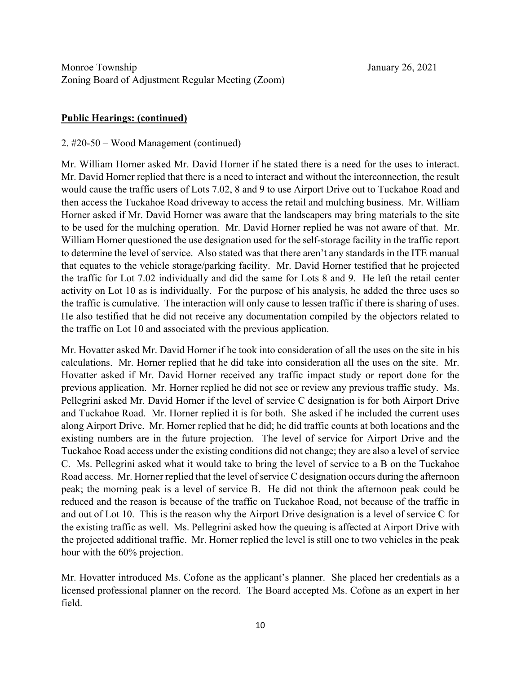# **Public Hearings: (continued)**

### 2. #20-50 – Wood Management (continued)

Mr. William Horner asked Mr. David Horner if he stated there is a need for the uses to interact. Mr. David Horner replied that there is a need to interact and without the interconnection, the result would cause the traffic users of Lots 7.02, 8 and 9 to use Airport Drive out to Tuckahoe Road and then access the Tuckahoe Road driveway to access the retail and mulching business. Mr. William Horner asked if Mr. David Horner was aware that the landscapers may bring materials to the site to be used for the mulching operation. Mr. David Horner replied he was not aware of that. Mr. William Horner questioned the use designation used for the self-storage facility in the traffic report to determine the level of service. Also stated was that there aren't any standards in the ITE manual that equates to the vehicle storage/parking facility. Mr. David Horner testified that he projected the traffic for Lot 7.02 individually and did the same for Lots 8 and 9. He left the retail center activity on Lot 10 as is individually. For the purpose of his analysis, he added the three uses so the traffic is cumulative. The interaction will only cause to lessen traffic if there is sharing of uses. He also testified that he did not receive any documentation compiled by the objectors related to the traffic on Lot 10 and associated with the previous application.

Mr. Hovatter asked Mr. David Horner if he took into consideration of all the uses on the site in his calculations. Mr. Horner replied that he did take into consideration all the uses on the site. Mr. Hovatter asked if Mr. David Horner received any traffic impact study or report done for the previous application. Mr. Horner replied he did not see or review any previous traffic study. Ms. Pellegrini asked Mr. David Horner if the level of service C designation is for both Airport Drive and Tuckahoe Road. Mr. Horner replied it is for both. She asked if he included the current uses along Airport Drive. Mr. Horner replied that he did; he did traffic counts at both locations and the existing numbers are in the future projection. The level of service for Airport Drive and the Tuckahoe Road access under the existing conditions did not change; they are also a level of service C. Ms. Pellegrini asked what it would take to bring the level of service to a B on the Tuckahoe Road access. Mr. Horner replied that the level of service C designation occurs during the afternoon peak; the morning peak is a level of service B. He did not think the afternoon peak could be reduced and the reason is because of the traffic on Tuckahoe Road, not because of the traffic in and out of Lot 10. This is the reason why the Airport Drive designation is a level of service C for the existing traffic as well. Ms. Pellegrini asked how the queuing is affected at Airport Drive with the projected additional traffic. Mr. Horner replied the level is still one to two vehicles in the peak hour with the 60% projection.

Mr. Hovatter introduced Ms. Cofone as the applicant's planner. She placed her credentials as a licensed professional planner on the record. The Board accepted Ms. Cofone as an expert in her field.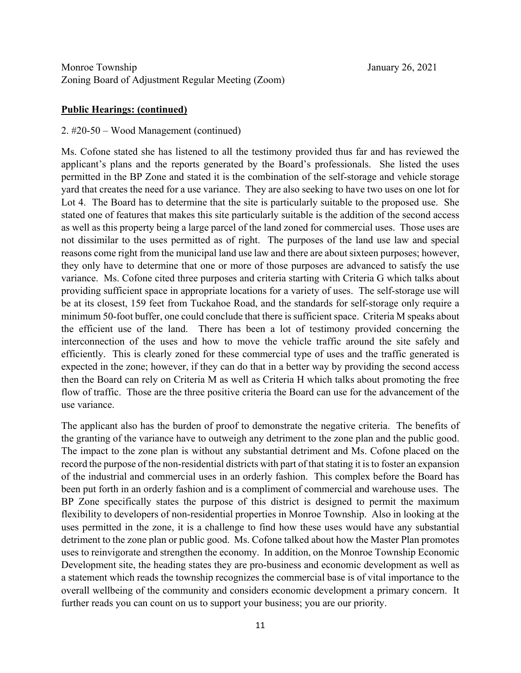#### **Public Hearings: (continued)**

#### 2. #20-50 – Wood Management (continued)

Ms. Cofone stated she has listened to all the testimony provided thus far and has reviewed the applicant's plans and the reports generated by the Board's professionals. She listed the uses permitted in the BP Zone and stated it is the combination of the self-storage and vehicle storage yard that creates the need for a use variance. They are also seeking to have two uses on one lot for Lot 4. The Board has to determine that the site is particularly suitable to the proposed use. She stated one of features that makes this site particularly suitable is the addition of the second access as well as this property being a large parcel of the land zoned for commercial uses. Those uses are not dissimilar to the uses permitted as of right. The purposes of the land use law and special reasons come right from the municipal land use law and there are about sixteen purposes; however, they only have to determine that one or more of those purposes are advanced to satisfy the use variance. Ms. Cofone cited three purposes and criteria starting with Criteria G which talks about providing sufficient space in appropriate locations for a variety of uses. The self-storage use will be at its closest, 159 feet from Tuckahoe Road, and the standards for self-storage only require a minimum 50-foot buffer, one could conclude that there is sufficient space. Criteria M speaks about the efficient use of the land. There has been a lot of testimony provided concerning the interconnection of the uses and how to move the vehicle traffic around the site safely and efficiently. This is clearly zoned for these commercial type of uses and the traffic generated is expected in the zone; however, if they can do that in a better way by providing the second access then the Board can rely on Criteria M as well as Criteria H which talks about promoting the free flow of traffic. Those are the three positive criteria the Board can use for the advancement of the use variance.

The applicant also has the burden of proof to demonstrate the negative criteria. The benefits of the granting of the variance have to outweigh any detriment to the zone plan and the public good. The impact to the zone plan is without any substantial detriment and Ms. Cofone placed on the record the purpose of the non-residential districts with part of that stating it is to foster an expansion of the industrial and commercial uses in an orderly fashion. This complex before the Board has been put forth in an orderly fashion and is a compliment of commercial and warehouse uses. The BP Zone specifically states the purpose of this district is designed to permit the maximum flexibility to developers of non-residential properties in Monroe Township. Also in looking at the uses permitted in the zone, it is a challenge to find how these uses would have any substantial detriment to the zone plan or public good. Ms. Cofone talked about how the Master Plan promotes uses to reinvigorate and strengthen the economy. In addition, on the Monroe Township Economic Development site, the heading states they are pro-business and economic development as well as a statement which reads the township recognizes the commercial base is of vital importance to the overall wellbeing of the community and considers economic development a primary concern. It further reads you can count on us to support your business; you are our priority.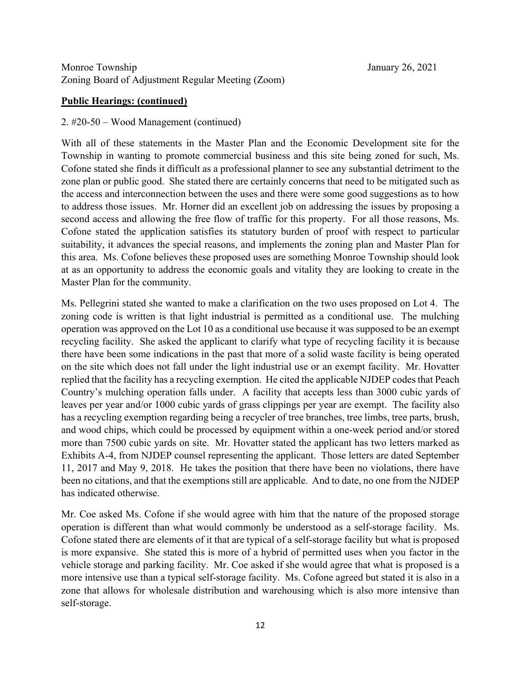# **Public Hearings: (continued)**

### 2. #20-50 – Wood Management (continued)

With all of these statements in the Master Plan and the Economic Development site for the Township in wanting to promote commercial business and this site being zoned for such, Ms. Cofone stated she finds it difficult as a professional planner to see any substantial detriment to the zone plan or public good. She stated there are certainly concerns that need to be mitigated such as the access and interconnection between the uses and there were some good suggestions as to how to address those issues. Mr. Horner did an excellent job on addressing the issues by proposing a second access and allowing the free flow of traffic for this property. For all those reasons, Ms. Cofone stated the application satisfies its statutory burden of proof with respect to particular suitability, it advances the special reasons, and implements the zoning plan and Master Plan for this area. Ms. Cofone believes these proposed uses are something Monroe Township should look at as an opportunity to address the economic goals and vitality they are looking to create in the Master Plan for the community.

Ms. Pellegrini stated she wanted to make a clarification on the two uses proposed on Lot 4. The zoning code is written is that light industrial is permitted as a conditional use. The mulching operation was approved on the Lot 10 as a conditional use because it was supposed to be an exempt recycling facility. She asked the applicant to clarify what type of recycling facility it is because there have been some indications in the past that more of a solid waste facility is being operated on the site which does not fall under the light industrial use or an exempt facility. Mr. Hovatter replied that the facility has a recycling exemption. He cited the applicable NJDEP codes that Peach Country's mulching operation falls under. A facility that accepts less than 3000 cubic yards of leaves per year and/or 1000 cubic yards of grass clippings per year are exempt. The facility also has a recycling exemption regarding being a recycler of tree branches, tree limbs, tree parts, brush, and wood chips, which could be processed by equipment within a one-week period and/or stored more than 7500 cubic yards on site. Mr. Hovatter stated the applicant has two letters marked as Exhibits A-4, from NJDEP counsel representing the applicant. Those letters are dated September 11, 2017 and May 9, 2018. He takes the position that there have been no violations, there have been no citations, and that the exemptions still are applicable. And to date, no one from the NJDEP has indicated otherwise.

Mr. Coe asked Ms. Cofone if she would agree with him that the nature of the proposed storage operation is different than what would commonly be understood as a self-storage facility. Ms. Cofone stated there are elements of it that are typical of a self-storage facility but what is proposed is more expansive. She stated this is more of a hybrid of permitted uses when you factor in the vehicle storage and parking facility. Mr. Coe asked if she would agree that what is proposed is a more intensive use than a typical self-storage facility. Ms. Cofone agreed but stated it is also in a zone that allows for wholesale distribution and warehousing which is also more intensive than self-storage.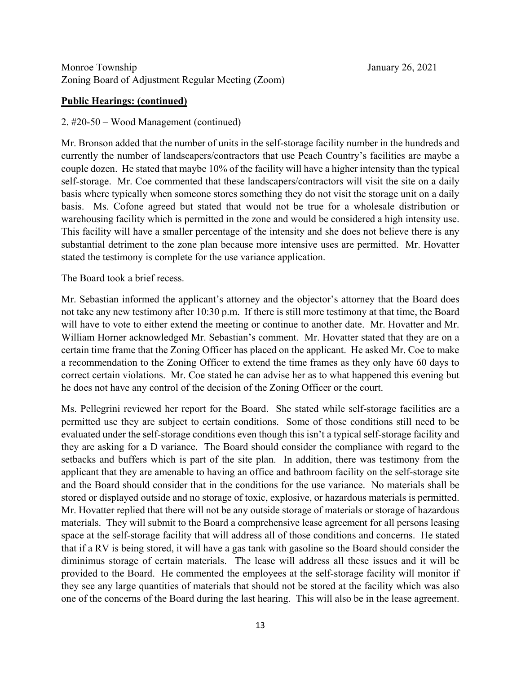### **Public Hearings: (continued)**

### 2. #20-50 – Wood Management (continued)

Mr. Bronson added that the number of units in the self-storage facility number in the hundreds and currently the number of landscapers/contractors that use Peach Country's facilities are maybe a couple dozen. He stated that maybe 10% of the facility will have a higher intensity than the typical self-storage. Mr. Coe commented that these landscapers/contractors will visit the site on a daily basis where typically when someone stores something they do not visit the storage unit on a daily basis. Ms. Cofone agreed but stated that would not be true for a wholesale distribution or warehousing facility which is permitted in the zone and would be considered a high intensity use. This facility will have a smaller percentage of the intensity and she does not believe there is any substantial detriment to the zone plan because more intensive uses are permitted. Mr. Hovatter stated the testimony is complete for the use variance application.

## The Board took a brief recess.

Mr. Sebastian informed the applicant's attorney and the objector's attorney that the Board does not take any new testimony after 10:30 p.m. If there is still more testimony at that time, the Board will have to vote to either extend the meeting or continue to another date. Mr. Hovatter and Mr. William Horner acknowledged Mr. Sebastian's comment. Mr. Hovatter stated that they are on a certain time frame that the Zoning Officer has placed on the applicant. He asked Mr. Coe to make a recommendation to the Zoning Officer to extend the time frames as they only have 60 days to correct certain violations. Mr. Coe stated he can advise her as to what happened this evening but he does not have any control of the decision of the Zoning Officer or the court.

Ms. Pellegrini reviewed her report for the Board. She stated while self-storage facilities are a permitted use they are subject to certain conditions. Some of those conditions still need to be evaluated under the self-storage conditions even though this isn't a typical self-storage facility and they are asking for a D variance. The Board should consider the compliance with regard to the setbacks and buffers which is part of the site plan. In addition, there was testimony from the applicant that they are amenable to having an office and bathroom facility on the self-storage site and the Board should consider that in the conditions for the use variance. No materials shall be stored or displayed outside and no storage of toxic, explosive, or hazardous materials is permitted. Mr. Hovatter replied that there will not be any outside storage of materials or storage of hazardous materials. They will submit to the Board a comprehensive lease agreement for all persons leasing space at the self-storage facility that will address all of those conditions and concerns. He stated that if a RV is being stored, it will have a gas tank with gasoline so the Board should consider the diminimus storage of certain materials. The lease will address all these issues and it will be provided to the Board. He commented the employees at the self-storage facility will monitor if they see any large quantities of materials that should not be stored at the facility which was also one of the concerns of the Board during the last hearing. This will also be in the lease agreement.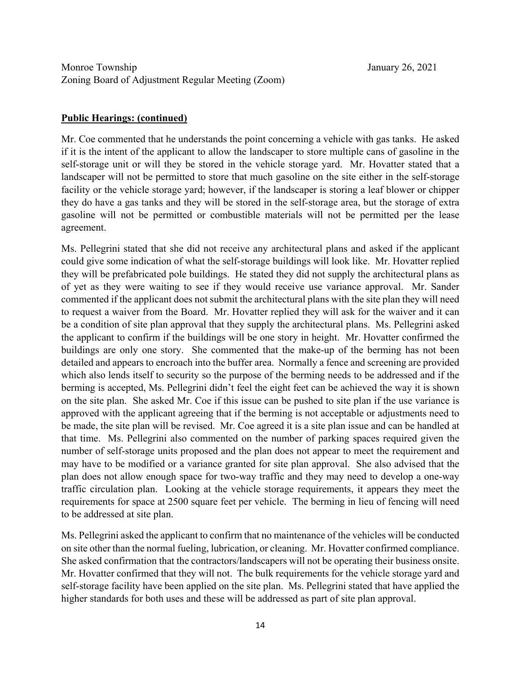## **Public Hearings: (continued)**

Mr. Coe commented that he understands the point concerning a vehicle with gas tanks. He asked if it is the intent of the applicant to allow the landscaper to store multiple cans of gasoline in the self-storage unit or will they be stored in the vehicle storage yard. Mr. Hovatter stated that a landscaper will not be permitted to store that much gasoline on the site either in the self-storage facility or the vehicle storage yard; however, if the landscaper is storing a leaf blower or chipper they do have a gas tanks and they will be stored in the self-storage area, but the storage of extra gasoline will not be permitted or combustible materials will not be permitted per the lease agreement.

Ms. Pellegrini stated that she did not receive any architectural plans and asked if the applicant could give some indication of what the self-storage buildings will look like. Mr. Hovatter replied they will be prefabricated pole buildings. He stated they did not supply the architectural plans as of yet as they were waiting to see if they would receive use variance approval. Mr. Sander commented if the applicant does not submit the architectural plans with the site plan they will need to request a waiver from the Board. Mr. Hovatter replied they will ask for the waiver and it can be a condition of site plan approval that they supply the architectural plans. Ms. Pellegrini asked the applicant to confirm if the buildings will be one story in height. Mr. Hovatter confirmed the buildings are only one story. She commented that the make-up of the berming has not been detailed and appears to encroach into the buffer area. Normally a fence and screening are provided which also lends itself to security so the purpose of the berming needs to be addressed and if the berming is accepted, Ms. Pellegrini didn't feel the eight feet can be achieved the way it is shown on the site plan. She asked Mr. Coe if this issue can be pushed to site plan if the use variance is approved with the applicant agreeing that if the berming is not acceptable or adjustments need to be made, the site plan will be revised. Mr. Coe agreed it is a site plan issue and can be handled at that time. Ms. Pellegrini also commented on the number of parking spaces required given the number of self-storage units proposed and the plan does not appear to meet the requirement and may have to be modified or a variance granted for site plan approval. She also advised that the plan does not allow enough space for two-way traffic and they may need to develop a one-way traffic circulation plan. Looking at the vehicle storage requirements, it appears they meet the requirements for space at 2500 square feet per vehicle. The berming in lieu of fencing will need to be addressed at site plan.

Ms. Pellegrini asked the applicant to confirm that no maintenance of the vehicles will be conducted on site other than the normal fueling, lubrication, or cleaning. Mr. Hovatter confirmed compliance. She asked confirmation that the contractors/landscapers will not be operating their business onsite. Mr. Hovatter confirmed that they will not. The bulk requirements for the vehicle storage yard and self-storage facility have been applied on the site plan. Ms. Pellegrini stated that have applied the higher standards for both uses and these will be addressed as part of site plan approval.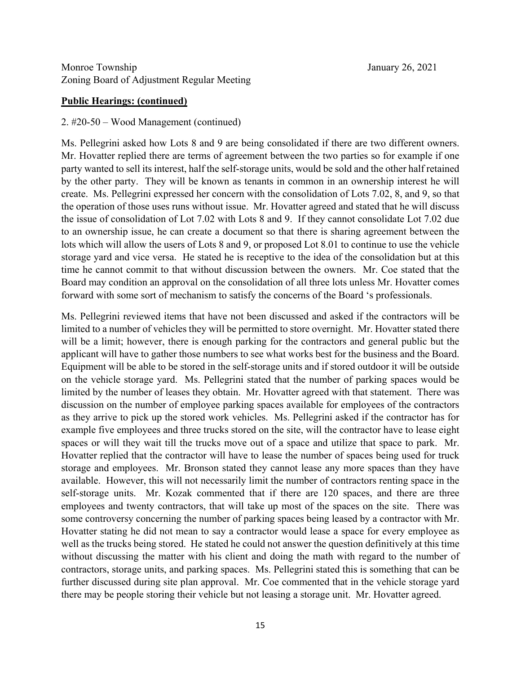### **Public Hearings: (continued)**

#### 2. #20-50 – Wood Management (continued)

Ms. Pellegrini asked how Lots 8 and 9 are being consolidated if there are two different owners. Mr. Hovatter replied there are terms of agreement between the two parties so for example if one party wanted to sell its interest, half the self-storage units, would be sold and the other half retained by the other party. They will be known as tenants in common in an ownership interest he will create. Ms. Pellegrini expressed her concern with the consolidation of Lots 7.02, 8, and 9, so that the operation of those uses runs without issue. Mr. Hovatter agreed and stated that he will discuss the issue of consolidation of Lot 7.02 with Lots 8 and 9. If they cannot consolidate Lot 7.02 due to an ownership issue, he can create a document so that there is sharing agreement between the lots which will allow the users of Lots 8 and 9, or proposed Lot 8.01 to continue to use the vehicle storage yard and vice versa. He stated he is receptive to the idea of the consolidation but at this time he cannot commit to that without discussion between the owners. Mr. Coe stated that the Board may condition an approval on the consolidation of all three lots unless Mr. Hovatter comes forward with some sort of mechanism to satisfy the concerns of the Board 's professionals.

Ms. Pellegrini reviewed items that have not been discussed and asked if the contractors will be limited to a number of vehicles they will be permitted to store overnight. Mr. Hovatter stated there will be a limit; however, there is enough parking for the contractors and general public but the applicant will have to gather those numbers to see what works best for the business and the Board. Equipment will be able to be stored in the self-storage units and if stored outdoor it will be outside on the vehicle storage yard. Ms. Pellegrini stated that the number of parking spaces would be limited by the number of leases they obtain. Mr. Hovatter agreed with that statement. There was discussion on the number of employee parking spaces available for employees of the contractors as they arrive to pick up the stored work vehicles. Ms. Pellegrini asked if the contractor has for example five employees and three trucks stored on the site, will the contractor have to lease eight spaces or will they wait till the trucks move out of a space and utilize that space to park. Mr. Hovatter replied that the contractor will have to lease the number of spaces being used for truck storage and employees. Mr. Bronson stated they cannot lease any more spaces than they have available. However, this will not necessarily limit the number of contractors renting space in the self-storage units. Mr. Kozak commented that if there are 120 spaces, and there are three employees and twenty contractors, that will take up most of the spaces on the site. There was some controversy concerning the number of parking spaces being leased by a contractor with Mr. Hovatter stating he did not mean to say a contractor would lease a space for every employee as well as the trucks being stored. He stated he could not answer the question definitively at this time without discussing the matter with his client and doing the math with regard to the number of contractors, storage units, and parking spaces. Ms. Pellegrini stated this is something that can be further discussed during site plan approval. Mr. Coe commented that in the vehicle storage yard there may be people storing their vehicle but not leasing a storage unit. Mr. Hovatter agreed.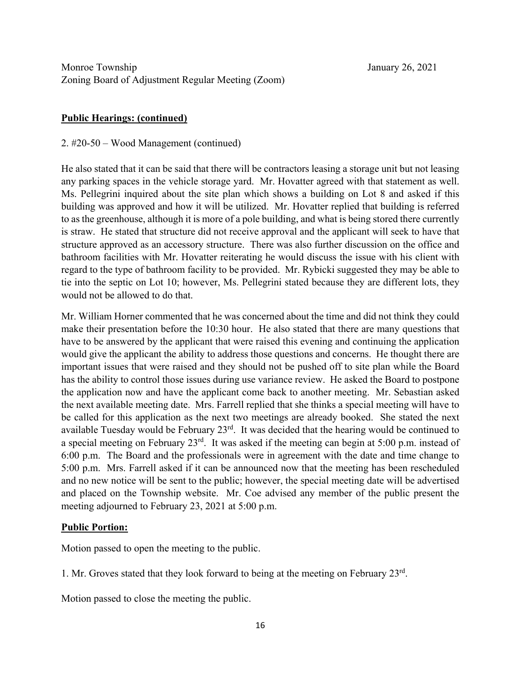# **Public Hearings: (continued)**

#### 2. #20-50 – Wood Management (continued)

He also stated that it can be said that there will be contractors leasing a storage unit but not leasing any parking spaces in the vehicle storage yard. Mr. Hovatter agreed with that statement as well. Ms. Pellegrini inquired about the site plan which shows a building on Lot 8 and asked if this building was approved and how it will be utilized. Mr. Hovatter replied that building is referred to as the greenhouse, although it is more of a pole building, and what is being stored there currently is straw. He stated that structure did not receive approval and the applicant will seek to have that structure approved as an accessory structure. There was also further discussion on the office and bathroom facilities with Mr. Hovatter reiterating he would discuss the issue with his client with regard to the type of bathroom facility to be provided. Mr. Rybicki suggested they may be able to tie into the septic on Lot 10; however, Ms. Pellegrini stated because they are different lots, they would not be allowed to do that.

Mr. William Horner commented that he was concerned about the time and did not think they could make their presentation before the 10:30 hour. He also stated that there are many questions that have to be answered by the applicant that were raised this evening and continuing the application would give the applicant the ability to address those questions and concerns. He thought there are important issues that were raised and they should not be pushed off to site plan while the Board has the ability to control those issues during use variance review. He asked the Board to postpone the application now and have the applicant come back to another meeting. Mr. Sebastian asked the next available meeting date. Mrs. Farrell replied that she thinks a special meeting will have to be called for this application as the next two meetings are already booked. She stated the next available Tuesday would be February 23<sup>rd</sup>. It was decided that the hearing would be continued to a special meeting on February 23rd. It was asked if the meeting can begin at 5:00 p.m. instead of 6:00 p.m. The Board and the professionals were in agreement with the date and time change to 5:00 p.m. Mrs. Farrell asked if it can be announced now that the meeting has been rescheduled and no new notice will be sent to the public; however, the special meeting date will be advertised and placed on the Township website. Mr. Coe advised any member of the public present the meeting adjourned to February 23, 2021 at 5:00 p.m.

#### **Public Portion:**

Motion passed to open the meeting to the public.

1. Mr. Groves stated that they look forward to being at the meeting on February 23rd.

Motion passed to close the meeting the public.